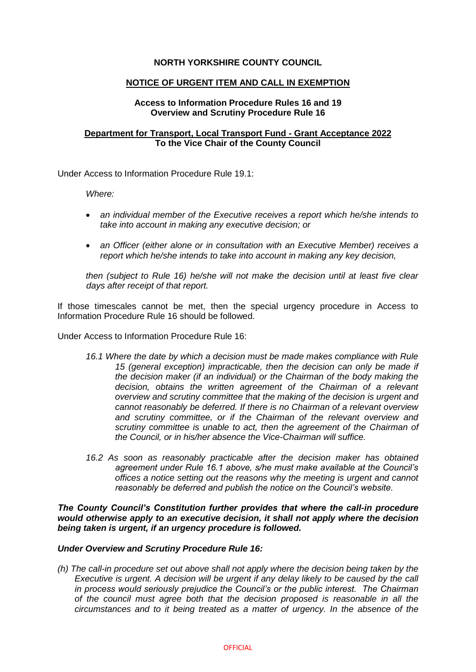# **NORTH YORKSHIRE COUNTY COUNCIL**

## **NOTICE OF URGENT ITEM AND CALL IN EXEMPTION**

## **Access to Information Procedure Rules 16 and 19 Overview and Scrutiny Procedure Rule 16**

## **Department for Transport, Local Transport Fund - Grant Acceptance 2022 To the Vice Chair of the County Council**

Under Access to Information Procedure Rule 19.1:

*Where:* 

- *an individual member of the Executive receives a report which he/she intends to take into account in making any executive decision; or*
- *an Officer (either alone or in consultation with an Executive Member) receives a report which he/she intends to take into account in making any key decision,*

*then (subject to Rule 16) he/she will not make the decision until at least five clear days after receipt of that report.*

If those timescales cannot be met, then the special urgency procedure in Access to Information Procedure Rule 16 should be followed.

Under Access to Information Procedure Rule 16:

- *16.1 Where the date by which a decision must be made makes compliance with Rule 15 (general exception) impracticable, then the decision can only be made if the decision maker (if an individual) or the Chairman of the body making the decision, obtains the written agreement of the Chairman of a relevant overview and scrutiny committee that the making of the decision is urgent and cannot reasonably be deferred. If there is no Chairman of a relevant overview and scrutiny committee, or if the Chairman of the relevant overview and scrutiny committee is unable to act, then the agreement of the Chairman of the Council, or in his/her absence the Vice-Chairman will suffice.*
- *16.2 As soon as reasonably practicable after the decision maker has obtained agreement under Rule 16.1 above, s/he must make available at the Council's offices a notice setting out the reasons why the meeting is urgent and cannot reasonably be deferred and publish the notice on the Council's website.*

*The County Council's Constitution further provides that where the call-in procedure would otherwise apply to an executive decision, it shall not apply where the decision being taken is urgent, if an urgency procedure is followed.*

## *Under Overview and Scrutiny Procedure Rule 16:*

*(h) The call-in procedure set out above shall not apply where the decision being taken by the Executive is urgent. A decision will be urgent if any delay likely to be caused by the call in process would seriously prejudice the Council's or the public interest. The Chairman of the council must agree both that the decision proposed is reasonable in all the circumstances and to it being treated as a matter of urgency. In the absence of the*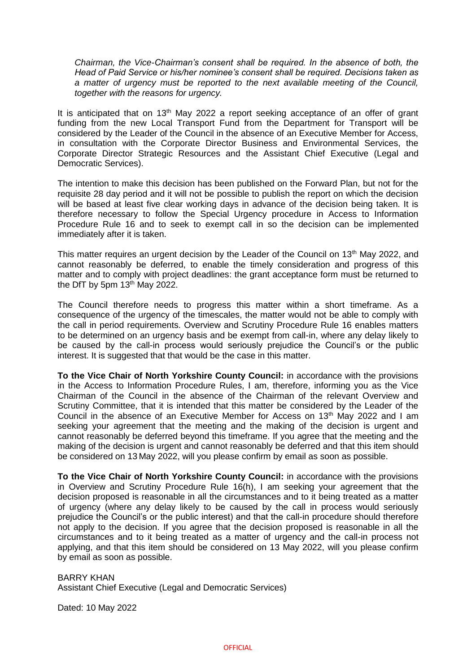*Chairman, the Vice-Chairman's consent shall be required. In the absence of both, the Head of Paid Service or his/her nominee's consent shall be required. Decisions taken as a matter of urgency must be reported to the next available meeting of the Council, together with the reasons for urgency.*

It is anticipated that on 13<sup>th</sup> May 2022 a report seeking acceptance of an offer of grant funding from the new Local Transport Fund from the Department for Transport will be considered by the Leader of the Council in the absence of an Executive Member for Access, in consultation with the Corporate Director Business and Environmental Services, the Corporate Director Strategic Resources and the Assistant Chief Executive (Legal and Democratic Services).

The intention to make this decision has been published on the Forward Plan, but not for the requisite 28 day period and it will not be possible to publish the report on which the decision will be based at least five clear working days in advance of the decision being taken. It is therefore necessary to follow the Special Urgency procedure in Access to Information Procedure Rule 16 and to seek to exempt call in so the decision can be implemented immediately after it is taken.

This matter requires an urgent decision by the Leader of the Council on  $13<sup>th</sup>$  May 2022, and cannot reasonably be deferred, to enable the timely consideration and progress of this matter and to comply with project deadlines: the grant acceptance form must be returned to the DfT by 5pm  $13<sup>th</sup>$  May 2022.

The Council therefore needs to progress this matter within a short timeframe. As a consequence of the urgency of the timescales, the matter would not be able to comply with the call in period requirements. Overview and Scrutiny Procedure Rule 16 enables matters to be determined on an urgency basis and be exempt from call-in, where any delay likely to be caused by the call-in process would seriously prejudice the Council's or the public interest. It is suggested that that would be the case in this matter.

**To the Vice Chair of North Yorkshire County Council:** in accordance with the provisions in the Access to Information Procedure Rules, I am, therefore, informing you as the Vice Chairman of the Council in the absence of the Chairman of the relevant Overview and Scrutiny Committee, that it is intended that this matter be considered by the Leader of the Council in the absence of an Executive Member for Access on 13th May 2022 and I am seeking your agreement that the meeting and the making of the decision is urgent and cannot reasonably be deferred beyond this timeframe. If you agree that the meeting and the making of the decision is urgent and cannot reasonably be deferred and that this item should be considered on 13 May 2022, will you please confirm by email as soon as possible.

**To the Vice Chair of North Yorkshire County Council:** in accordance with the provisions in Overview and Scrutiny Procedure Rule 16(h), I am seeking your agreement that the decision proposed is reasonable in all the circumstances and to it being treated as a matter of urgency (where any delay likely to be caused by the call in process would seriously prejudice the Council's or the public interest) and that the call-in procedure should therefore not apply to the decision. If you agree that the decision proposed is reasonable in all the circumstances and to it being treated as a matter of urgency and the call-in process not applying, and that this item should be considered on 13 May 2022, will you please confirm by email as soon as possible.

BARRY KHAN Assistant Chief Executive (Legal and Democratic Services)

Dated: 10 May 2022